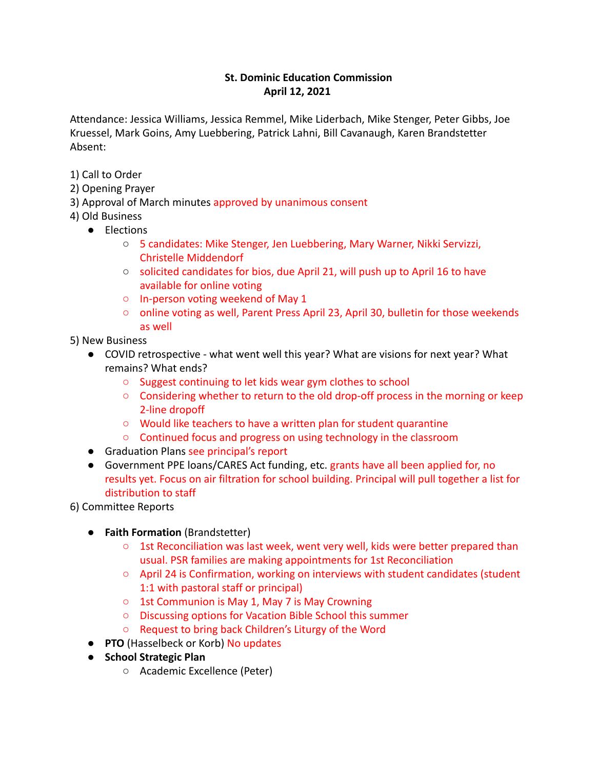## **St. Dominic Education Commission April 12, 2021**

Attendance: Jessica Williams, Jessica Remmel, Mike Liderbach, Mike Stenger, Peter Gibbs, Joe Kruessel, Mark Goins, Amy Luebbering, Patrick Lahni, Bill Cavanaugh, Karen Brandstetter Absent:

- 1) Call to Order
- 2) Opening Prayer
- 3) Approval of March minutes approved by unanimous consent
- 4) Old Business
	- Elections
		- 5 candidates: Mike Stenger, Jen Luebbering, Mary Warner, Nikki Servizzi, Christelle Middendorf
		- solicited candidates for bios, due April 21, will push up to April 16 to have available for online voting
		- In-person voting weekend of May 1
		- online voting as well, Parent Press April 23, April 30, bulletin for those weekends as well
- 5) New Business
	- COVID retrospective what went well this year? What are visions for next year? What remains? What ends?
		- Suggest continuing to let kids wear gym clothes to school
		- Considering whether to return to the old drop-off process in the morning or keep 2-line dropoff
		- Would like teachers to have a written plan for student quarantine
		- Continued focus and progress on using technology in the classroom
	- Graduation Plans see principal's report
	- Government PPE loans/CARES Act funding, etc. grants have all been applied for, no results yet. Focus on air filtration for school building. Principal will pull together a list for distribution to staff
- 6) Committee Reports
	- **Faith Formation** (Brandstetter)
		- $\circ$  1st Reconciliation was last week, went very well, kids were better prepared than usual. PSR families are making appointments for 1st Reconciliation
		- April 24 is Confirmation, working on interviews with student candidates (student 1:1 with pastoral staff or principal)
		- 1st Communion is May 1, May 7 is May Crowning
		- Discussing options for Vacation Bible School this summer
		- Request to bring back Children's Liturgy of the Word
	- **PTO** (Hasselbeck or Korb) No updates
	- **School Strategic Plan**
		- Academic Excellence (Peter)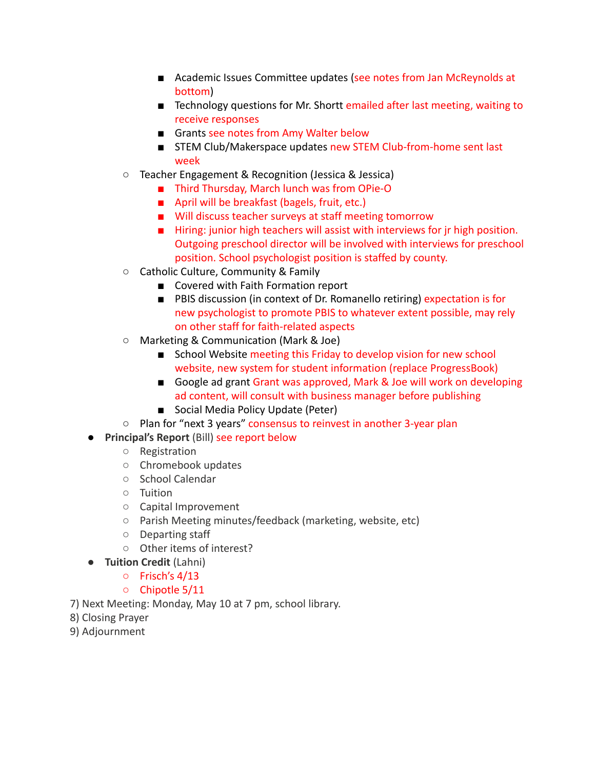- Academic Issues Committee updates (see notes from Jan McReynolds at bottom)
- Technology questions for Mr. Shortt emailed after last meeting, waiting to receive responses
- Grants see notes from Amy Walter below
- STEM Club/Makerspace updates new STEM Club-from-home sent last week
- Teacher Engagement & Recognition (Jessica & Jessica)
	- Third Thursday, March lunch was from OPie-O
	- April will be breakfast (bagels, fruit, etc.)
	- Will discuss teacher surveys at staff meeting tomorrow
	- Hiring: junior high teachers will assist with interviews for jr high position. Outgoing preschool director will be involved with interviews for preschool position. School psychologist position is staffed by county.
- Catholic Culture, Community & Family
	- Covered with Faith Formation report
	- PBIS discussion (in context of Dr. Romanello retiring) expectation is for new psychologist to promote PBIS to whatever extent possible, may rely on other staff for faith-related aspects
- Marketing & Communication (Mark & Joe)
	- School Website meeting this Friday to develop vision for new school website, new system for student information (replace ProgressBook)
	- Google ad grant Grant was approved, Mark & Joe will work on developing ad content, will consult with business manager before publishing
	- Social Media Policy Update (Peter)
- Plan for "next 3 years" consensus to reinvest in another 3-year plan
- **Principal's Report** (Bill) see report below
	- Registration
	- Chromebook updates
	- School Calendar
	- Tuition
	- Capital Improvement
	- Parish Meeting minutes/feedback (marketing, website, etc)
	- Departing staff
	- Other items of interest?
- **Tuition Credit** (Lahni)
	- Frisch's 4/13
	- Chipotle 5/11

7) Next Meeting: Monday, May 10 at 7 pm, school library.

- 8) Closing Prayer
- 9) Adjournment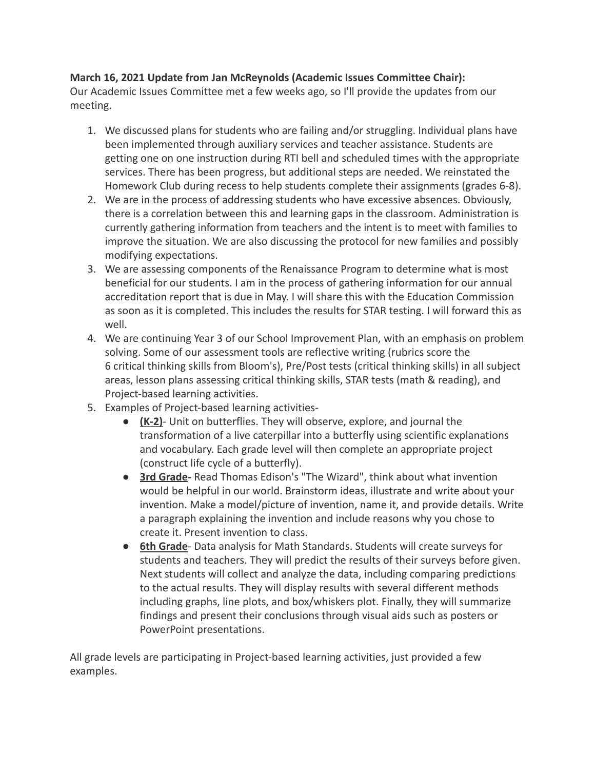## **March 16, 2021 Update from Jan McReynolds (Academic Issues Committee Chair):**

Our Academic Issues Committee met a few weeks ago, so I'll provide the updates from our meeting.

- 1. We discussed plans for students who are failing and/or struggling. Individual plans have been implemented through auxiliary services and teacher assistance. Students are getting one on one instruction during RTI bell and scheduled times with the appropriate services. There has been progress, but additional steps are needed. We reinstated the Homework Club during recess to help students complete their assignments (grades 6-8).
- 2. We are in the process of addressing students who have excessive absences. Obviously, there is a correlation between this and learning gaps in the classroom. Administration is currently gathering information from teachers and the intent is to meet with families to improve the situation. We are also discussing the protocol for new families and possibly modifying expectations.
- 3. We are assessing components of the Renaissance Program to determine what is most beneficial for our students. I am in the process of gathering information for our annual accreditation report that is due in May. I will share this with the Education Commission as soon as it is completed. This includes the results for STAR testing. I will forward this as well.
- 4. We are continuing Year 3 of our School Improvement Plan, with an emphasis on problem solving. Some of our assessment tools are reflective writing (rubrics score the 6 critical thinking skills from Bloom's), Pre/Post tests (critical thinking skills) in all subject areas, lesson plans assessing critical thinking skills, STAR tests (math & reading), and Project-based learning activities.
- 5. Examples of Project-based learning activities-
	- **(K-2)** Unit on butterflies. They will observe, explore, and journal the transformation of a live caterpillar into a butterfly using scientific explanations and vocabulary. Each grade level will then complete an appropriate project (construct life cycle of a butterfly).
	- **3rd Grade-** Read Thomas Edison's "The Wizard", think about what invention would be helpful in our world. Brainstorm ideas, illustrate and write about your invention. Make a model/picture of invention, name it, and provide details. Write a paragraph explaining the invention and include reasons why you chose to create it. Present invention to class.
	- **6th Grade** Data analysis for Math Standards. Students will create surveys for students and teachers. They will predict the results of their surveys before given. Next students will collect and analyze the data, including comparing predictions to the actual results. They will display results with several different methods including graphs, line plots, and box/whiskers plot. Finally, they will summarize findings and present their conclusions through visual aids such as posters or PowerPoint presentations.

All grade levels are participating in Project-based learning activities, just provided a few examples.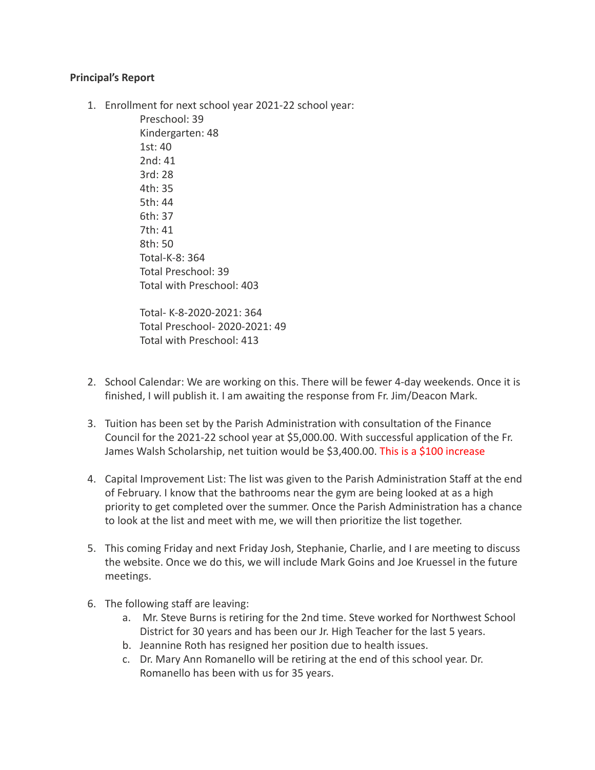## **Principal's Report**

1. Enrollment for next school year 2021-22 school year:

Preschool: 39 Kindergarten: 48 1st: 40 2nd: 41 3rd: 28 4th: 35 5th: 44 6th: 37 7th: 41 8th: 50 Total-K-8: 364 Total Preschool: 39 Total with Preschool: 403

Total- K-8-2020-2021: 364 Total Preschool- 2020-2021: 49 Total with Preschool: 413

- 2. School Calendar: We are working on this. There will be fewer 4-day weekends. Once it is finished, I will publish it. I am awaiting the response from Fr. Jim/Deacon Mark.
- 3. Tuition has been set by the Parish Administration with consultation of the Finance Council for the 2021-22 school year at \$5,000.00. With successful application of the Fr. James Walsh Scholarship, net tuition would be \$3,400.00. This is a \$100 increase
- 4. Capital Improvement List: The list was given to the Parish Administration Staff at the end of February. I know that the bathrooms near the gym are being looked at as a high priority to get completed over the summer. Once the Parish Administration has a chance to look at the list and meet with me, we will then prioritize the list together.
- 5. This coming Friday and next Friday Josh, Stephanie, Charlie, and I are meeting to discuss the website. Once we do this, we will include Mark Goins and Joe Kruessel in the future meetings.
- 6. The following staff are leaving:
	- a. Mr. Steve Burns is retiring for the 2nd time. Steve worked for Northwest School District for 30 years and has been our Jr. High Teacher for the last 5 years.
	- b. Jeannine Roth has resigned her position due to health issues.
	- c. Dr. Mary Ann Romanello will be retiring at the end of this school year. Dr. Romanello has been with us for 35 years.